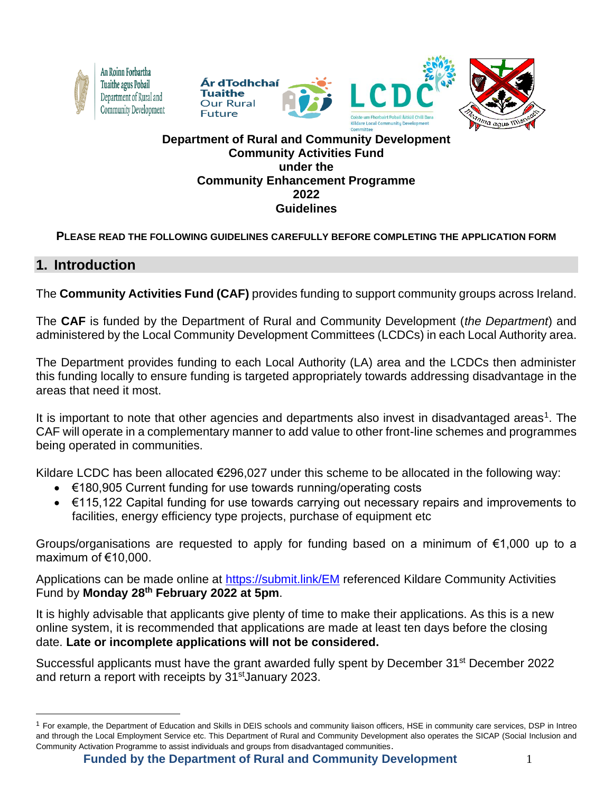







#### **Department of Rural and Community Development Community Activities Fund under the Community Enhancement Programme 2022 Guidelines**

## **PLEASE READ THE FOLLOWING GUIDELINES CAREFULLY BEFORE COMPLETING THE APPLICATION FORM**

# **1. Introduction**

The **Community Activities Fund (CAF)** provides funding to support community groups across Ireland.

The **CAF** is funded by the Department of Rural and Community Development (*the Department*) and administered by the Local Community Development Committees (LCDCs) in each Local Authority area.

The Department provides funding to each Local Authority (LA) area and the LCDCs then administer this funding locally to ensure funding is targeted appropriately towards addressing disadvantage in the areas that need it most.

It is important to note that other agencies and departments also invest in disadvantaged areas<sup>1</sup>. The CAF will operate in a complementary manner to add value to other front-line schemes and programmes being operated in communities.

Kildare LCDC has been allocated  $\epsilon$ 296,027 under this scheme to be allocated in the following way:

- €180,905 Current funding for use towards running/operating costs
- €115,122 Capital funding for use towards carrying out necessary repairs and improvements to facilities, energy efficiency type projects, purchase of equipment etc

Groups/organisations are requested to apply for funding based on a minimum of €1,000 up to a maximum of €10,000.

Applications can be made online at <https://submit.link/EM> referenced Kildare Community Activities Fund by **Monday 28th February 2022 at 5pm**.

It is highly advisable that applicants give plenty of time to make their applications. As this is a new online system, it is recommended that applications are made at least ten days before the closing date. **Late or incomplete applications will not be considered.** 

Successful applicants must have the grant awarded fully spent by December 31st December 2022 and return a report with receipts by 31<sup>st</sup> January 2023.

<sup>&</sup>lt;sup>1</sup> For example, the Department of Education and Skills in DEIS schools and community liaison officers, HSE in community care services, DSP in Intreo and through the Local Employment Service etc. This Department of Rural and Community Development also operates the SICAP (Social Inclusion and Community Activation Programme to assist individuals and groups from disadvantaged communities.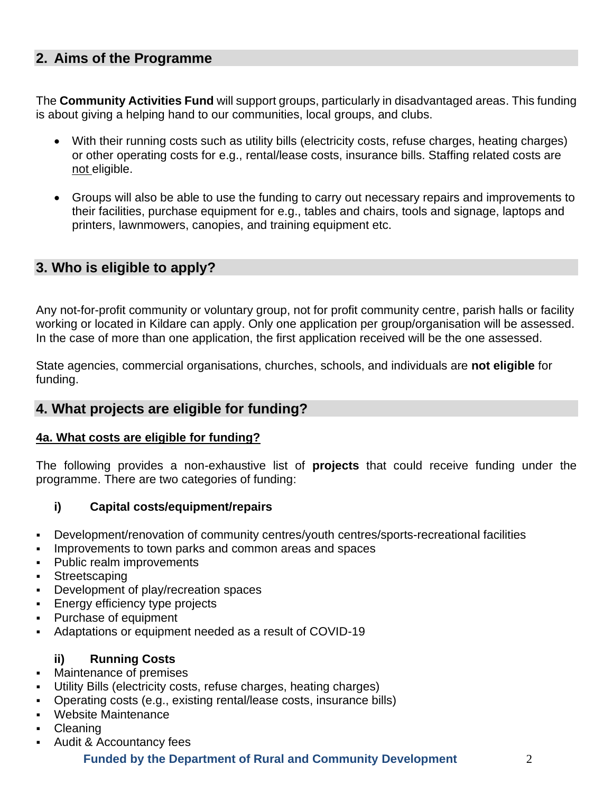# **2. Aims of the Programme**

The **Community Activities Fund** will support groups, particularly in disadvantaged areas. This funding is about giving a helping hand to our communities, local groups, and clubs.

- With their running costs such as utility bills (electricity costs, refuse charges, heating charges) or other operating costs for e.g., rental/lease costs, insurance bills. Staffing related costs are not eligible.
- Groups will also be able to use the funding to carry out necessary repairs and improvements to their facilities, purchase equipment for e.g., tables and chairs, tools and signage, laptops and printers, lawnmowers, canopies, and training equipment etc.

# **3. Who is eligible to apply?**

Any not-for-profit community or voluntary group, not for profit community centre, parish halls or facility working or located in Kildare can apply. Only one application per group/organisation will be assessed. In the case of more than one application, the first application received will be the one assessed.

State agencies, commercial organisations, churches, schools, and individuals are **not eligible** for funding.

## **4. What projects are eligible for funding?**

#### **4a. What costs are eligible for funding?**

The following provides a non-exhaustive list of **projects** that could receive funding under the programme. There are two categories of funding:

#### **i) Capital costs/equipment/repairs**

- Development/renovation of community centres/youth centres/sports-recreational facilities
- Improvements to town parks and common areas and spaces
- Public realm improvements
- Streetscaping
- Development of play/recreation spaces
- Energy efficiency type projects
- Purchase of equipment
- Adaptations or equipment needed as a result of COVID-19

## **ii) Running Costs**

- Maintenance of premises
- Utility Bills (electricity costs, refuse charges, heating charges)
- Operating costs (e.g., existing rental/lease costs, insurance bills)
- Website Maintenance
- **Cleaning**
- Audit & Accountancy fees

## **Funded by the Department of Rural and Community Development** 2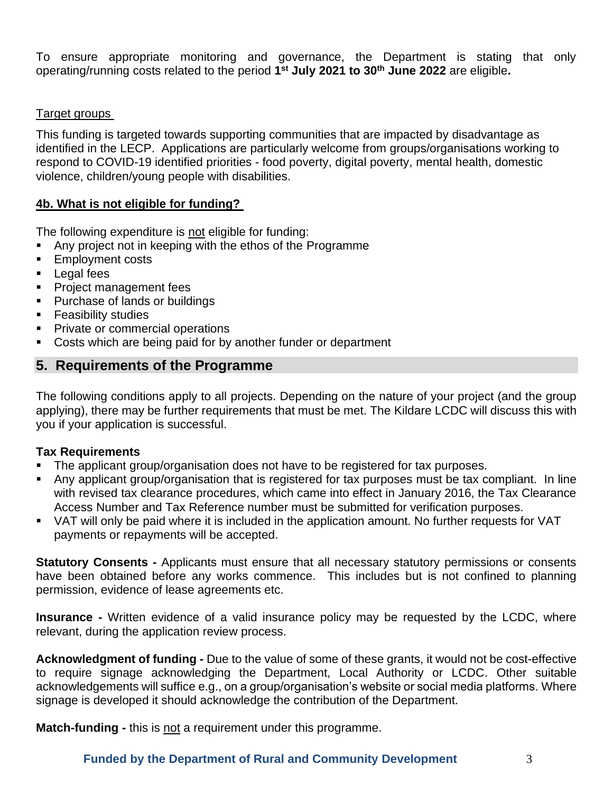To ensure appropriate monitoring and governance, the Department is stating that only operating/running costs related to the period **1 st July 2021 to 30th June 2022** are eligible**.**

#### Target groups

This funding is targeted towards supporting communities that are impacted by disadvantage as identified in the LECP. Applications are particularly welcome from groups/organisations working to respond to COVID-19 identified priorities - food poverty, digital poverty, mental health, domestic violence, children/young people with disabilities.

#### **4b. What is not eligible for funding?**

The following expenditure is not eligible for funding:

- Any project not in keeping with the ethos of the Programme
- Employment costs
- Legal fees
- **Project management fees**
- Purchase of lands or buildings
- **Feasibility studies**
- Private or commercial operations
- Costs which are being paid for by another funder or department

## **5. Requirements of the Programme**

The following conditions apply to all projects. Depending on the nature of your project (and the group applying), there may be further requirements that must be met. The Kildare LCDC will discuss this with you if your application is successful.

## **Tax Requirements**

- The applicant group/organisation does not have to be registered for tax purposes.
- Any applicant group/organisation that is registered for tax purposes must be tax compliant. In line with revised tax clearance procedures, which came into effect in January 2016, the Tax Clearance Access Number and Tax Reference number must be submitted for verification purposes.
- VAT will only be paid where it is included in the application amount. No further requests for VAT payments or repayments will be accepted.

**Statutory Consents -** Applicants must ensure that all necessary statutory permissions or consents have been obtained before any works commence. This includes but is not confined to planning permission, evidence of lease agreements etc.

**Insurance -** Written evidence of a valid insurance policy may be requested by the LCDC, where relevant, during the application review process.

**Acknowledgment of funding -** Due to the value of some of these grants, it would not be cost-effective to require signage acknowledging the Department, Local Authority or LCDC. Other suitable acknowledgements will suffice e.g., on a group/organisation's website or social media platforms. Where signage is developed it should acknowledge the contribution of the Department.

**Match-funding -** this is not a requirement under this programme.

#### **Funded by the Department of Rural and Community Development** 3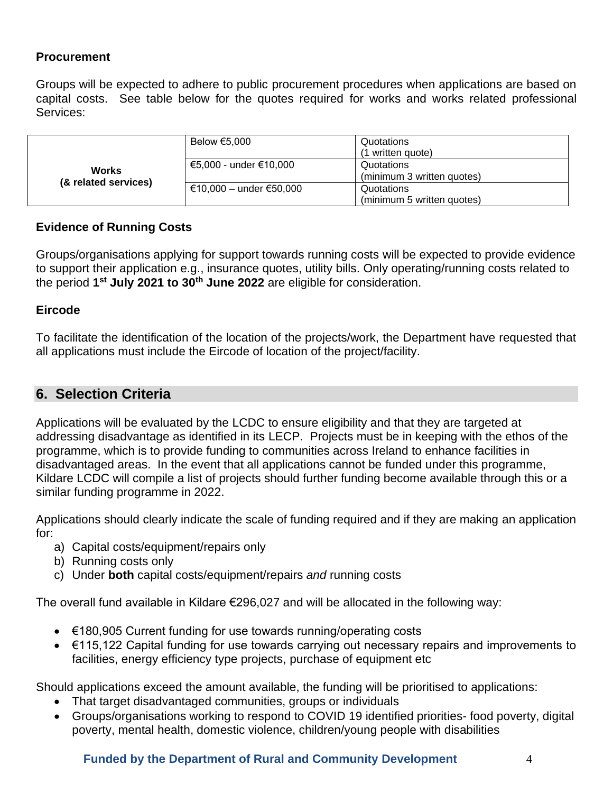## **Procurement**

Groups will be expected to adhere to public procurement procedures when applications are based on capital costs. See table below for the quotes required for works and works related professional Services:

| <b>Works</b><br>(& related services) | Below €5,000            | Quotations                 |
|--------------------------------------|-------------------------|----------------------------|
|                                      |                         | (1 written quote)          |
|                                      | €5,000 - under €10,000  | Quotations                 |
|                                      |                         | (minimum 3 written quotes) |
|                                      | €10,000 - under €50,000 | Quotations                 |
|                                      |                         | (minimum 5 written quotes) |

#### **Evidence of Running Costs**

Groups/organisations applying for support towards running costs will be expected to provide evidence to support their application e.g., insurance quotes, utility bills. Only operating/running costs related to the period **1 st July 2021 to 30th June 2022** are eligible for consideration.

#### **Eircode**

To facilitate the identification of the location of the projects/work, the Department have requested that all applications must include the Eircode of location of the project/facility.

## **6. Selection Criteria**

Applications will be evaluated by the LCDC to ensure eligibility and that they are targeted at addressing disadvantage as identified in its LECP. Projects must be in keeping with the ethos of the programme, which is to provide funding to communities across Ireland to enhance facilities in disadvantaged areas. In the event that all applications cannot be funded under this programme, Kildare LCDC will compile a list of projects should further funding become available through this or a similar funding programme in 2022.

Applications should clearly indicate the scale of funding required and if they are making an application for:

- a) Capital costs/equipment/repairs only
- b) Running costs only
- c) Under **both** capital costs/equipment/repairs *and* running costs

The overall fund available in Kildare €296,027 and will be allocated in the following way:

- €180,905 Current funding for use towards running/operating costs
- €115,122 Capital funding for use towards carrying out necessary repairs and improvements to facilities, energy efficiency type projects, purchase of equipment etc

Should applications exceed the amount available, the funding will be prioritised to applications:

- That target disadvantaged communities, groups or individuals
- Groups/organisations working to respond to COVID 19 identified priorities- food poverty, digital poverty, mental health, domestic violence, children/young people with disabilities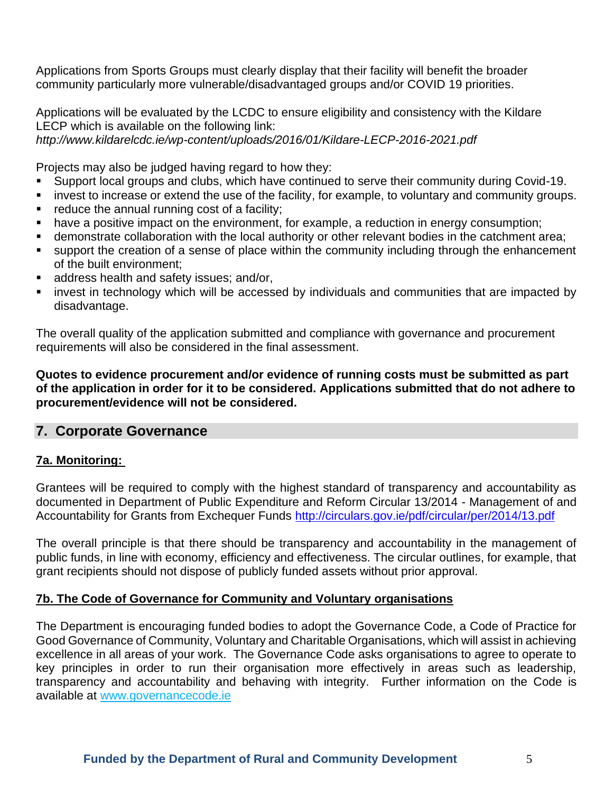Applications from Sports Groups must clearly display that their facility will benefit the broader community particularly more vulnerable/disadvantaged groups and/or COVID 19 priorities.

Applications will be evaluated by the LCDC to ensure eligibility and consistency with the Kildare LECP which is available on the following link:

*http://www.kildarelcdc.ie/wp-content/uploads/2016/01/Kildare-LECP-2016-2021.pdf* 

Projects may also be judged having regard to how they:

- Support local groups and clubs, which have continued to serve their community during Covid-19.
- **■** invest to increase or extend the use of the facility, for example, to voluntary and community groups.
- reduce the annual running cost of a facility;
- have a positive impact on the environment, for example, a reduction in energy consumption;
- demonstrate collaboration with the local authority or other relevant bodies in the catchment area;
- support the creation of a sense of place within the community including through the enhancement of the built environment;
- address health and safety issues; and/or,
- **EXT** invest in technology which will be accessed by individuals and communities that are impacted by disadvantage.

The overall quality of the application submitted and compliance with governance and procurement requirements will also be considered in the final assessment.

**Quotes to evidence procurement and/or evidence of running costs must be submitted as part of the application in order for it to be considered. Applications submitted that do not adhere to procurement/evidence will not be considered.**

## **7. Corporate Governance**

## **7a. Monitoring:**

Grantees will be required to comply with the highest standard of transparency and accountability as documented in Department of Public Expenditure and Reform Circular 13/2014 - Management of and Accountability for Grants from Exchequer Funds<http://circulars.gov.ie/pdf/circular/per/2014/13.pdf>

The overall principle is that there should be transparency and accountability in the management of public funds, in line with economy, efficiency and effectiveness. The circular outlines, for example, that grant recipients should not dispose of publicly funded assets without prior approval.

## **7b. The Code of Governance for Community and Voluntary organisations**

The Department is encouraging funded bodies to adopt the Governance Code, a Code of Practice for Good Governance of Community, Voluntary and Charitable Organisations, which will assist in achieving excellence in all areas of your work. The Governance Code asks organisations to agree to operate to key principles in order to run their organisation more effectively in areas such as leadership, transparency and accountability and behaving with integrity. Further information on the Code is available at [www.governancecode.ie](http://www.governancecode.ie/)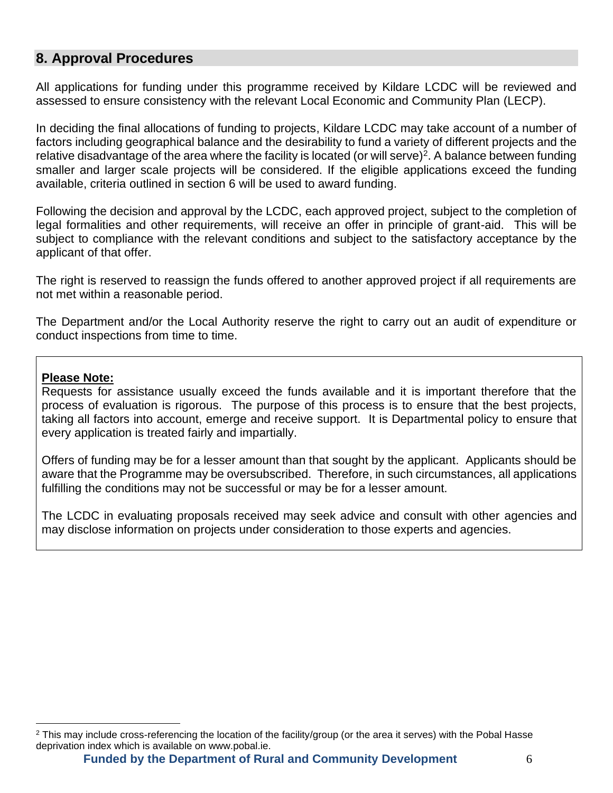# **8. Approval Procedures**

All applications for funding under this programme received by Kildare LCDC will be reviewed and assessed to ensure consistency with the relevant Local Economic and Community Plan (LECP).

In deciding the final allocations of funding to projects, Kildare LCDC may take account of a number of factors including geographical balance and the desirability to fund a variety of different projects and the relative disadvantage of the area where the facility is located (or will serve)<sup>2</sup>. A balance between funding smaller and larger scale projects will be considered. If the eligible applications exceed the funding available, criteria outlined in section 6 will be used to award funding.

Following the decision and approval by the LCDC, each approved project, subject to the completion of legal formalities and other requirements, will receive an offer in principle of grant-aid. This will be subject to compliance with the relevant conditions and subject to the satisfactory acceptance by the applicant of that offer.

The right is reserved to reassign the funds offered to another approved project if all requirements are not met within a reasonable period.

The Department and/or the Local Authority reserve the right to carry out an audit of expenditure or conduct inspections from time to time.

#### **Please Note:**

Requests for assistance usually exceed the funds available and it is important therefore that the process of evaluation is rigorous. The purpose of this process is to ensure that the best projects, taking all factors into account, emerge and receive support. It is Departmental policy to ensure that every application is treated fairly and impartially.

Offers of funding may be for a lesser amount than that sought by the applicant. Applicants should be aware that the Programme may be oversubscribed. Therefore, in such circumstances, all applications fulfilling the conditions may not be successful or may be for a lesser amount.

The LCDC in evaluating proposals received may seek advice and consult with other agencies and may disclose information on projects under consideration to those experts and agencies.

**Funded by the Department of Rural and Community Development** 6

<sup>2</sup> This may include cross-referencing the location of the facility/group (or the area it serves) with the Pobal Hasse deprivation index which is available on www.pobal.ie.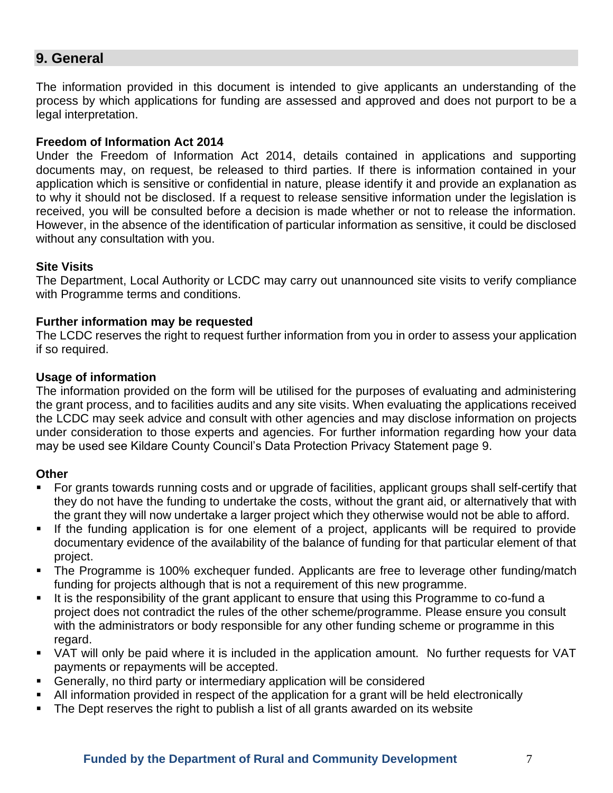## **9. General**

The information provided in this document is intended to give applicants an understanding of the process by which applications for funding are assessed and approved and does not purport to be a legal interpretation.

#### **Freedom of Information Act 2014**

Under the Freedom of Information Act 2014, details contained in applications and supporting documents may, on request, be released to third parties. If there is information contained in your application which is sensitive or confidential in nature, please identify it and provide an explanation as to why it should not be disclosed. If a request to release sensitive information under the legislation is received, you will be consulted before a decision is made whether or not to release the information. However, in the absence of the identification of particular information as sensitive, it could be disclosed without any consultation with you.

#### **Site Visits**

The Department, Local Authority or LCDC may carry out unannounced site visits to verify compliance with Programme terms and conditions.

#### **Further information may be requested**

The LCDC reserves the right to request further information from you in order to assess your application if so required.

#### **Usage of information**

The information provided on the form will be utilised for the purposes of evaluating and administering the grant process, and to facilities audits and any site visits. When evaluating the applications received the LCDC may seek advice and consult with other agencies and may disclose information on projects under consideration to those experts and agencies. For further information regarding how your data may be used see Kildare County Council's Data Protection Privacy Statement page 9.

#### **Other**

- For grants towards running costs and or upgrade of facilities, applicant groups shall self-certify that they do not have the funding to undertake the costs, without the grant aid, or alternatively that with the grant they will now undertake a larger project which they otherwise would not be able to afford.
- **EXT** If the funding application is for one element of a project, applicants will be required to provide documentary evidence of the availability of the balance of funding for that particular element of that project.
- The Programme is 100% exchequer funded. Applicants are free to leverage other funding/match funding for projects although that is not a requirement of this new programme.
- It is the responsibility of the grant applicant to ensure that using this Programme to co-fund a project does not contradict the rules of the other scheme/programme. Please ensure you consult with the administrators or body responsible for any other funding scheme or programme in this regard.
- VAT will only be paid where it is included in the application amount. No further requests for VAT payments or repayments will be accepted.
- Generally, no third party or intermediary application will be considered
- All information provided in respect of the application for a grant will be held electronically
- The Dept reserves the right to publish a list of all grants awarded on its website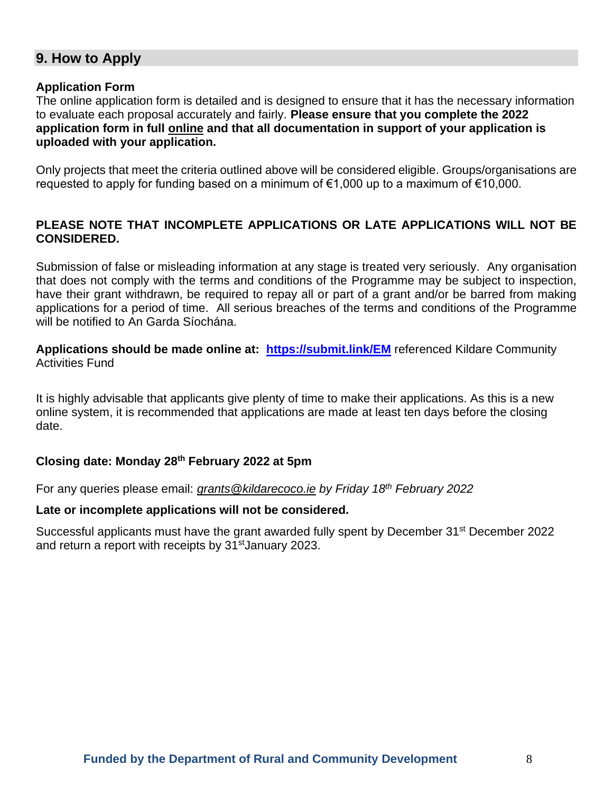# **9. How to Apply**

#### **Application Form**

The online application form is detailed and is designed to ensure that it has the necessary information to evaluate each proposal accurately and fairly. **Please ensure that you complete the 2022 application form in full online and that all documentation in support of your application is uploaded with your application.**

Only projects that meet the criteria outlined above will be considered eligible. Groups/organisations are requested to apply for funding based on a minimum of €1,000 up to a maximum of €10,000.

#### **PLEASE NOTE THAT INCOMPLETE APPLICATIONS OR LATE APPLICATIONS WILL NOT BE CONSIDERED.**

Submission of false or misleading information at any stage is treated very seriously. Any organisation that does not comply with the terms and conditions of the Programme may be subject to inspection, have their grant withdrawn, be required to repay all or part of a grant and/or be barred from making applications for a period of time. All serious breaches of the terms and conditions of the Programme will be notified to An Garda Síochána.

**Applications should be made online at: <https://submit.link/EM>** referenced Kildare Community Activities Fund

It is highly advisable that applicants give plenty of time to make their applications. As this is a new online system, it is recommended that applications are made at least ten days before the closing date.

#### **Closing date: Monday 28th February 2022 at 5pm**

For any queries please email: *[grants@kildarecoco.ie](mailto:grants@kildarecoco.ie) by Friday 18th February 2022*

#### **Late or incomplete applications will not be considered.**

Successful applicants must have the grant awarded fully spent by December 31st December 2022 and return a report with receipts by 31<sup>st</sup> January 2023.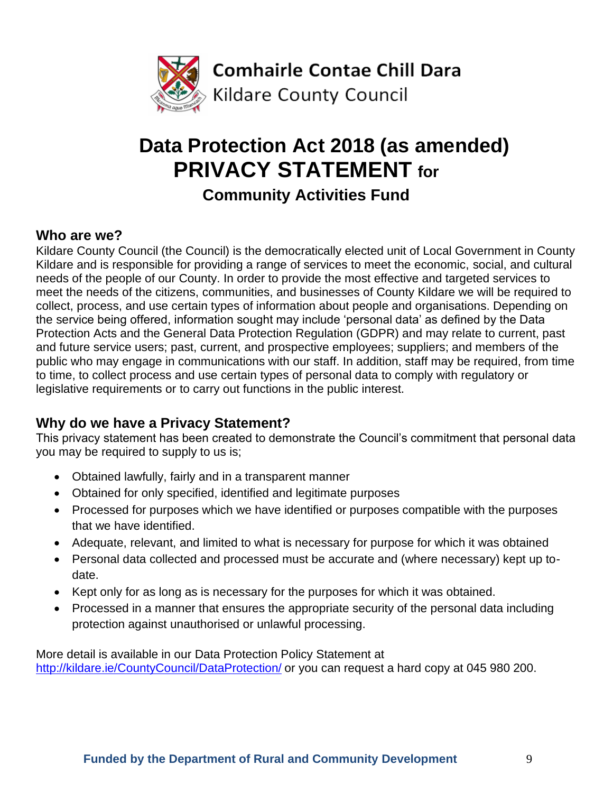

# **Data Protection Act 2018 (as amended) PRIVACY STATEMENT for**

**Community Activities Fund**

# **Who are we?**

Kildare County Council (the Council) is the democratically elected unit of Local Government in County Kildare and is responsible for providing a range of services to meet the economic, social, and cultural needs of the people of our County. In order to provide the most effective and targeted services to meet the needs of the citizens, communities, and businesses of County Kildare we will be required to collect, process, and use certain types of information about people and organisations. Depending on the service being offered, information sought may include 'personal data' as defined by the Data Protection Acts and the General Data Protection Regulation (GDPR) and may relate to current, past and future service users; past, current, and prospective employees; suppliers; and members of the public who may engage in communications with our staff. In addition, staff may be required, from time to time, to collect process and use certain types of personal data to comply with regulatory or legislative requirements or to carry out functions in the public interest.

# **Why do we have a Privacy Statement?**

This privacy statement has been created to demonstrate the Council's commitment that personal data you may be required to supply to us is;

- Obtained lawfully, fairly and in a transparent manner
- Obtained for only specified, identified and legitimate purposes
- Processed for purposes which we have identified or purposes compatible with the purposes that we have identified.
- Adequate, relevant, and limited to what is necessary for purpose for which it was obtained
- Personal data collected and processed must be accurate and (where necessary) kept up todate.
- Kept only for as long as is necessary for the purposes for which it was obtained.
- Processed in a manner that ensures the appropriate security of the personal data including protection against unauthorised or unlawful processing.

More detail is available in our Data Protection Policy Statement at <http://kildare.ie/CountyCouncil/DataProtection/> or you can request a hard copy at 045 980 200.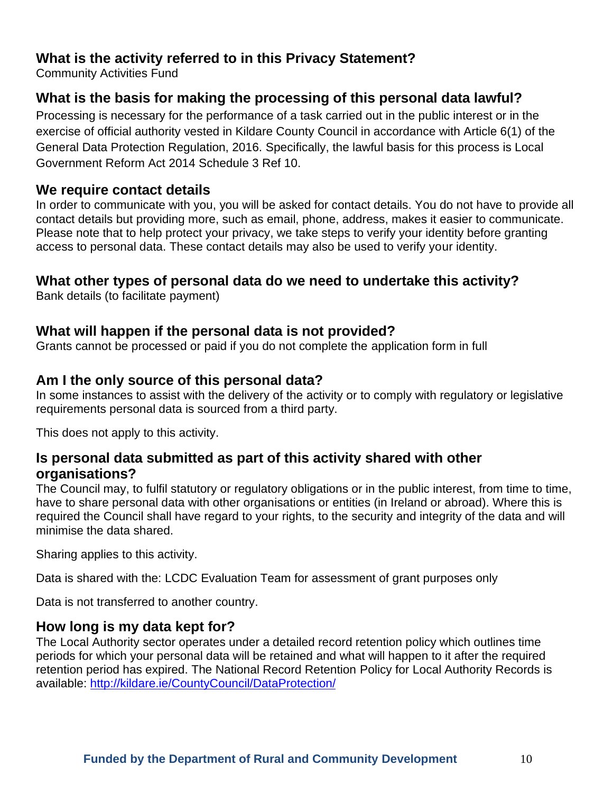# **What is the activity referred to in this Privacy Statement?**

Community Activities Fund

# **What is the basis for making the processing of this personal data lawful?**

Processing is necessary for the performance of a task carried out in the public interest or in the exercise of official authority vested in Kildare County Council in accordance with Article 6(1) of the General Data Protection Regulation, 2016. Specifically, the lawful basis for this process is Local Government Reform Act 2014 Schedule 3 Ref 10.

# **We require contact details**

In order to communicate with you, you will be asked for contact details. You do not have to provide all contact details but providing more, such as email, phone, address, makes it easier to communicate. Please note that to help protect your privacy, we take steps to verify your identity before granting access to personal data. These contact details may also be used to verify your identity.

# **What other types of personal data do we need to undertake this activity?**

Bank details (to facilitate payment)

## **What will happen if the personal data is not provided?**

Grants cannot be processed or paid if you do not complete the application form in full

# **Am I the only source of this personal data?**

In some instances to assist with the delivery of the activity or to comply with regulatory or legislative requirements personal data is sourced from a third party.

This does not apply to this activity.

## **Is personal data submitted as part of this activity shared with other organisations?**

The Council may, to fulfil statutory or regulatory obligations or in the public interest, from time to time, have to share personal data with other organisations or entities (in Ireland or abroad). Where this is required the Council shall have regard to your rights, to the security and integrity of the data and will minimise the data shared.

Sharing applies to this activity.

Data is shared with the: LCDC Evaluation Team for assessment of grant purposes only

Data is not transferred to another country.

## **How long is my data kept for?**

The Local Authority sector operates under a detailed record retention policy which outlines time periods for which your personal data will be retained and what will happen to it after the required retention period has expired. The National Record Retention Policy for Local Authority Records is available:<http://kildare.ie/CountyCouncil/DataProtection/>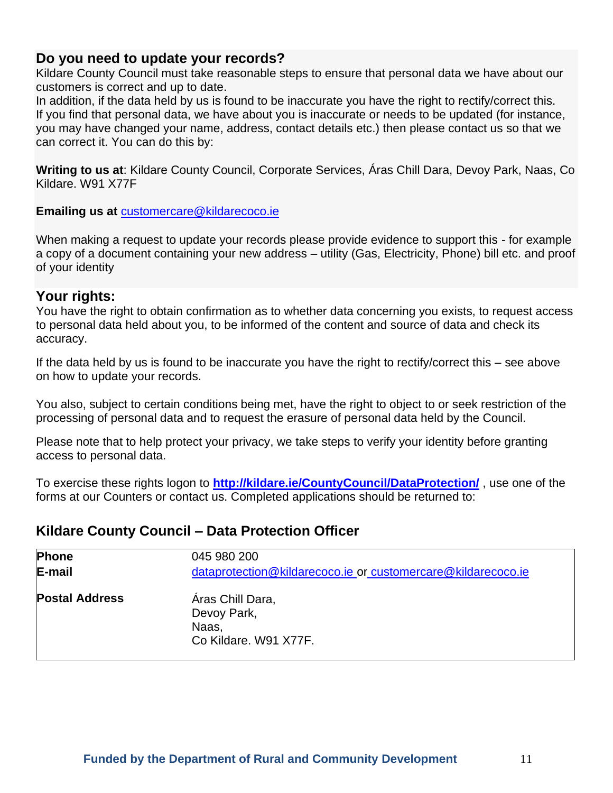## **Do you need to update your records?**

Kildare County Council must take reasonable steps to ensure that personal data we have about our customers is correct and up to date.

In addition, if the data held by us is found to be inaccurate you have the right to rectify/correct this. If you find that personal data, we have about you is inaccurate or needs to be updated (for instance, you may have changed your name, address, contact details etc.) then please contact us so that we can correct it. You can do this by:

**Writing to us at**: Kildare County Council, Corporate Services, Áras Chill Dara, Devoy Park, Naas, Co Kildare. W91 X77F

**Emailing us at** [customercare@kildarecoco.ie](mailto:customercare@kildarecoco.ie)

When making a request to update your records please provide evidence to support this - for example a copy of a document containing your new address – utility (Gas, Electricity, Phone) bill etc. and proof of your identity

## **Your rights:**

You have the right to obtain confirmation as to whether data concerning you exists, to request access to personal data held about you, to be informed of the content and source of data and check its accuracy.

If the data held by us is found to be inaccurate you have the right to rectify/correct this – see above on how to update your records.

You also, subject to certain conditions being met, have the right to object to or seek restriction of the processing of personal data and to request the erasure of personal data held by the Council.

Please note that to help protect your privacy, we take steps to verify your identity before granting access to personal data.

To exercise these rights logon to **<http://kildare.ie/CountyCouncil/DataProtection/>** , use one of the forms at our Counters or contact us. Completed applications should be returned to:

## **Kildare County Council – Data Protection Officer**

| Phone                 | 045 980 200                                                       |
|-----------------------|-------------------------------------------------------------------|
| E-mail                | dataprotection@kildarecoco.ie or customercare@kildarecoco.ie      |
| <b>Postal Address</b> | Áras Chill Dara,<br>Devoy Park,<br>Naas.<br>Co Kildare. W91 X77F. |